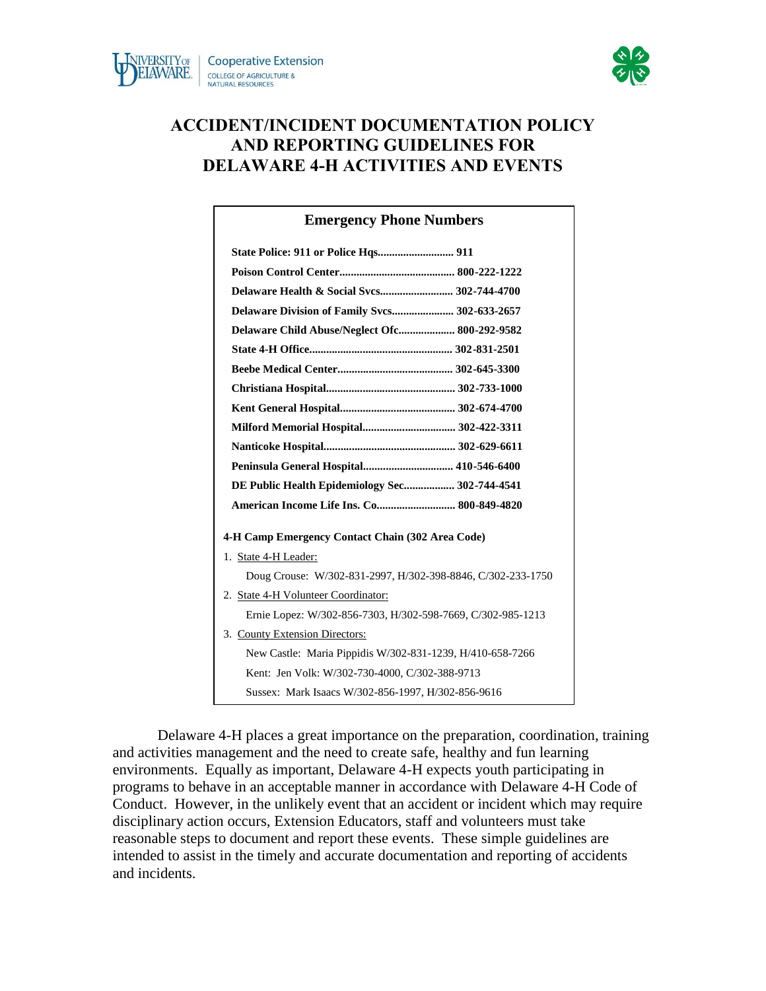



# **ACCIDENT/INCIDENT DOCUMENTATION POLICY AND REPORTING GUIDELINES FOR DELAWARE 4-H ACTIVITIES AND EVENTS**

#### **Emergency Phone Numbers**

| State Police: 911 or Police Hqs 911                         |  |
|-------------------------------------------------------------|--|
|                                                             |  |
| Delaware Health & Social Svcs 302-744-4700                  |  |
| Delaware Division of Family Svcs 302-633-2657               |  |
| Delaware Child Abuse/Neglect Ofc 800-292-9582               |  |
|                                                             |  |
|                                                             |  |
|                                                             |  |
|                                                             |  |
| Milford Memorial Hospital 302-422-3311                      |  |
|                                                             |  |
| Peninsula General Hospital 410-546-6400                     |  |
| DE Public Health Epidemiology Sec 302-744-4541              |  |
| American Income Life Ins. Co 800-849-4820                   |  |
| 4-H Camp Emergency Contact Chain (302 Area Code)            |  |
| 1. State 4-H Leader:                                        |  |
| Doug Crouse: W/302-831-2997, H/302-398-8846, C/302-233-1750 |  |
| 2. State 4-H Volunteer Coordinator:                         |  |
| Ernie Lopez: W/302-856-7303, H/302-598-7669, C/302-985-1213 |  |
| 3. County Extension Directors:                              |  |
| New Castle: Maria Pippidis W/302-831-1239, H/410-658-7266   |  |
| Kent: Jen Volk: W/302-730-4000, C/302-388-9713              |  |
| Sussex: Mark Isaacs W/302-856-1997, H/302-856-9616          |  |

Delaware 4-H places a great importance on the preparation, coordination, training and activities management and the need to create safe, healthy and fun learning environments. Equally as important, Delaware 4-H expects youth participating in programs to behave in an acceptable manner in accordance with Delaware 4-H Code of Conduct. However, in the unlikely event that an accident or incident which may require disciplinary action occurs, Extension Educators, staff and volunteers must take reasonable steps to document and report these events. These simple guidelines are intended to assist in the timely and accurate documentation and reporting of accidents and incidents.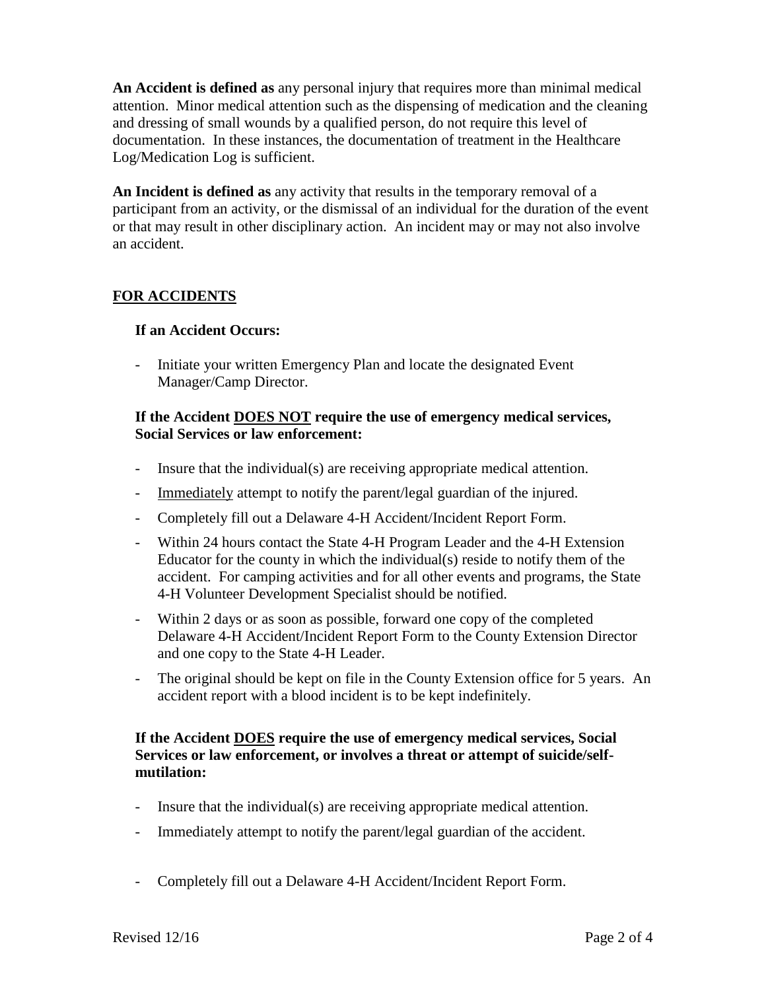**An Accident is defined as** any personal injury that requires more than minimal medical attention. Minor medical attention such as the dispensing of medication and the cleaning and dressing of small wounds by a qualified person, do not require this level of documentation. In these instances, the documentation of treatment in the Healthcare Log/Medication Log is sufficient.

**An Incident is defined as** any activity that results in the temporary removal of a participant from an activity, or the dismissal of an individual for the duration of the event or that may result in other disciplinary action. An incident may or may not also involve an accident.

# **FOR ACCIDENTS**

## **If an Accident Occurs:**

- Initiate your written Emergency Plan and locate the designated Event Manager/Camp Director.

# **If the Accident DOES NOT require the use of emergency medical services, Social Services or law enforcement:**

- Insure that the individual(s) are receiving appropriate medical attention.
- Immediately attempt to notify the parent/legal guardian of the injured.
- Completely fill out a Delaware 4-H Accident/Incident Report Form.
- Within 24 hours contact the State 4-H Program Leader and the 4-H Extension Educator for the county in which the individual(s) reside to notify them of the accident. For camping activities and for all other events and programs, the State 4-H Volunteer Development Specialist should be notified.
- Within 2 days or as soon as possible, forward one copy of the completed Delaware 4-H Accident/Incident Report Form to the County Extension Director and one copy to the State 4-H Leader.
- The original should be kept on file in the County Extension office for 5 years. An accident report with a blood incident is to be kept indefinitely.

## **If the Accident DOES require the use of emergency medical services, Social Services or law enforcement, or involves a threat or attempt of suicide/selfmutilation:**

- Insure that the individual(s) are receiving appropriate medical attention.
- Immediately attempt to notify the parent/legal guardian of the accident.
- Completely fill out a Delaware 4-H Accident/Incident Report Form.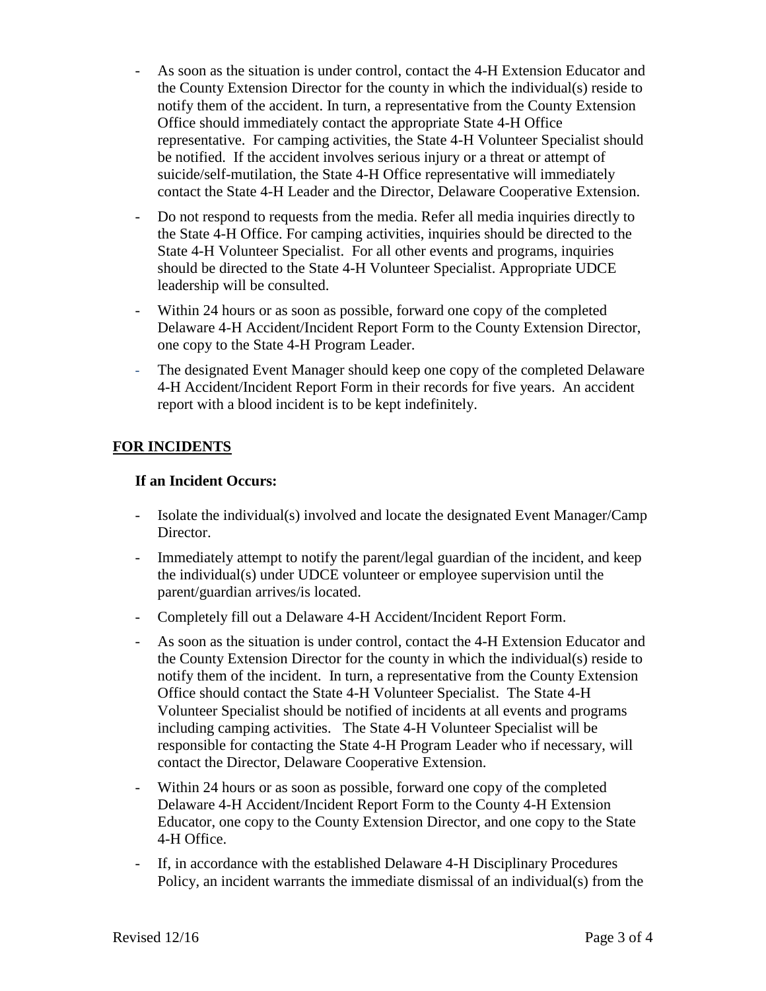- As soon as the situation is under control, contact the 4-H Extension Educator and the County Extension Director for the county in which the individual(s) reside to notify them of the accident. In turn, a representative from the County Extension Office should immediately contact the appropriate State 4-H Office representative. For camping activities, the State 4-H Volunteer Specialist should be notified. If the accident involves serious injury or a threat or attempt of suicide/self-mutilation, the State 4-H Office representative will immediately contact the State 4-H Leader and the Director, Delaware Cooperative Extension.
- Do not respond to requests from the media. Refer all media inquiries directly to the State 4-H Office. For camping activities, inquiries should be directed to the State 4-H Volunteer Specialist. For all other events and programs, inquiries should be directed to the State 4-H Volunteer Specialist. Appropriate UDCE leadership will be consulted.
- Within 24 hours or as soon as possible, forward one copy of the completed Delaware 4-H Accident/Incident Report Form to the County Extension Director, one copy to the State 4-H Program Leader.
- The designated Event Manager should keep one copy of the completed Delaware 4-H Accident/Incident Report Form in their records for five years. An accident report with a blood incident is to be kept indefinitely.

# **FOR INCIDENTS**

## **If an Incident Occurs:**

- Isolate the individual(s) involved and locate the designated Event Manager/Camp Director.
- Immediately attempt to notify the parent/legal guardian of the incident, and keep the individual(s) under UDCE volunteer or employee supervision until the parent/guardian arrives/is located.
- Completely fill out a Delaware 4-H Accident/Incident Report Form.
- As soon as the situation is under control, contact the 4-H Extension Educator and the County Extension Director for the county in which the individual(s) reside to notify them of the incident. In turn, a representative from the County Extension Office should contact the State 4-H Volunteer Specialist. The State 4-H Volunteer Specialist should be notified of incidents at all events and programs including camping activities. The State 4-H Volunteer Specialist will be responsible for contacting the State 4-H Program Leader who if necessary, will contact the Director, Delaware Cooperative Extension.
- Within 24 hours or as soon as possible, forward one copy of the completed Delaware 4-H Accident/Incident Report Form to the County 4-H Extension Educator, one copy to the County Extension Director, and one copy to the State 4-H Office.
- If, in accordance with the established Delaware 4-H Disciplinary Procedures Policy, an incident warrants the immediate dismissal of an individual(s) from the